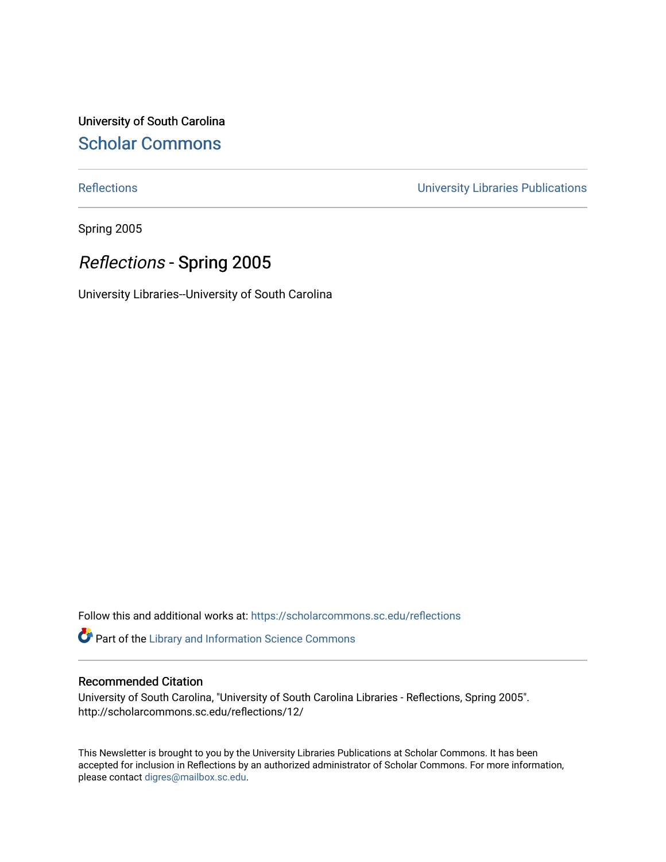University of South Carolina [Scholar Commons](https://scholarcommons.sc.edu/) 

[Reflections](https://scholarcommons.sc.edu/reflections) [University Libraries Publications](https://scholarcommons.sc.edu/lib_pubs) 

Spring 2005

### Reflections - Spring 2005

University Libraries--University of South Carolina

Follow this and additional works at: [https://scholarcommons.sc.edu/reflections](https://scholarcommons.sc.edu/reflections?utm_source=scholarcommons.sc.edu%2Freflections%2F12&utm_medium=PDF&utm_campaign=PDFCoverPages) 

Part of the [Library and Information Science Commons](http://network.bepress.com/hgg/discipline/1018?utm_source=scholarcommons.sc.edu%2Freflections%2F12&utm_medium=PDF&utm_campaign=PDFCoverPages) 

#### Recommended Citation

University of South Carolina, "University of South Carolina Libraries - Reflections, Spring 2005". http://scholarcommons.sc.edu/reflections/12/

This Newsletter is brought to you by the University Libraries Publications at Scholar Commons. It has been accepted for inclusion in Reflections by an authorized administrator of Scholar Commons. For more information, please contact [digres@mailbox.sc.edu](mailto:digres@mailbox.sc.edu).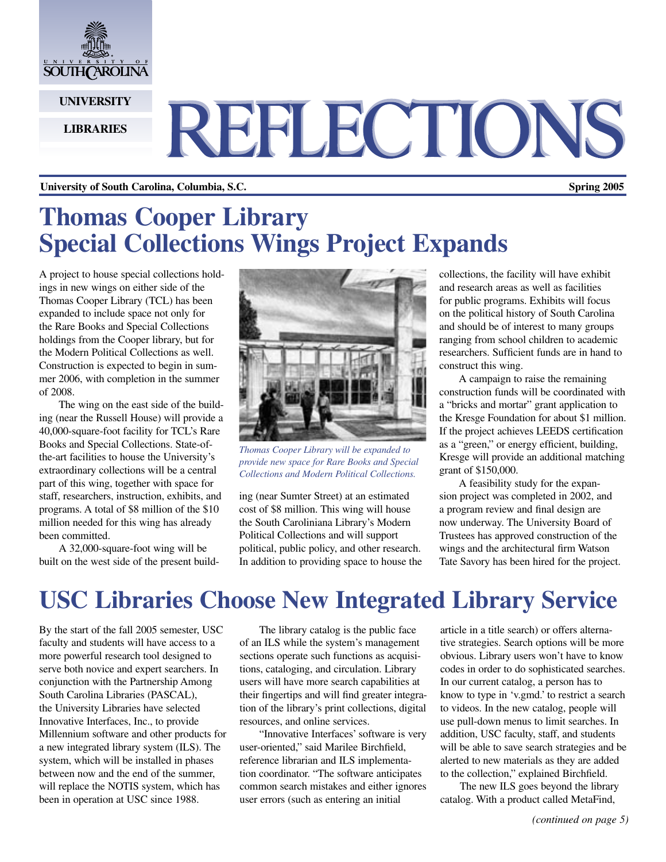

**UNIVERSITY**

#### **LIBRARIES**

# REFLECTIONS

#### **University of South Carolina, Columbia, S.C. Spring 2005**

# **Thomas Cooper Library Special Collections Wings Project Expands**

A project to house special collections holdings in new wings on either side of the Thomas Cooper Library (TCL) has been expanded to include space not only for the Rare Books and Special Collections holdings from the Cooper library, but for the Modern Political Collections as well. Construction is expected to begin in summer 2006, with completion in the summer of 2008.

The wing on the east side of the building (near the Russell House) will provide a 40,000-square-foot facility for TCL's Rare Books and Special Collections. State-ofthe-art facilities to house the University's extraordinary collections will be a central part of this wing, together with space for staff, researchers, instruction, exhibits, and programs. A total of \$8 million of the \$10 million needed for this wing has already been committed.

A 32,000-square-foot wing will be built on the west side of the present build-



*Thomas Cooper Library will be expanded to provide new space for Rare Books and Special Collections and Modern Political Collections.*

ing (near Sumter Street) at an estimated cost of \$8 million. This wing will house the South Caroliniana Library's Modern Political Collections and will support political, public policy, and other research. In addition to providing space to house the collections, the facility will have exhibit and research areas as well as facilities for public programs. Exhibits will focus on the political history of South Carolina and should be of interest to many groups ranging from school children to academic researchers. Sufficient funds are in hand to construct this wing.

A campaign to raise the remaining construction funds will be coordinated with a "bricks and mortar" grant application to the Kresge Foundation for about \$1 million. If the project achieves LEEDS certification as a "green," or energy efficient, building, Kresge will provide an additional matching grant of \$150,000.

A feasibility study for the expansion project was completed in 2002, and a program review and final design are now underway. The University Board of Trustees has approved construction of the wings and the architectural firm Watson Tate Savory has been hired for the project.

# **USC Libraries Choose New Integrated Library Service**

By the start of the fall 2005 semester, USC faculty and students will have access to a more powerful research tool designed to serve both novice and expert searchers. In conjunction with the Partnership Among South Carolina Libraries (PASCAL), the University Libraries have selected Innovative Interfaces, Inc., to provide Millennium software and other products for a new integrated library system (ILS). The system, which will be installed in phases between now and the end of the summer, will replace the NOTIS system, which has been in operation at USC since 1988.

The library catalog is the public face of an ILS while the system's management sections operate such functions as acquisitions, cataloging, and circulation. Library users will have more search capabilities at their fingertips and will find greater integration of the library's print collections, digital resources, and online services.

"Innovative Interfaces' software is very user-oriented," said Marilee Birchfield, reference librarian and ILS implementation coordinator. "The software anticipates common search mistakes and either ignores user errors (such as entering an initial

article in a title search) or offers alternative strategies. Search options will be more obvious. Library users won't have to know codes in order to do sophisticated searches. In our current catalog, a person has to know to type in 'v.gmd.' to restrict a search to videos. In the new catalog, people will use pull-down menus to limit searches. In addition, USC faculty, staff, and students will be able to save search strategies and be alerted to new materials as they are added to the collection," explained Birchfield.

The new ILS goes beyond the library catalog. With a product called MetaFind,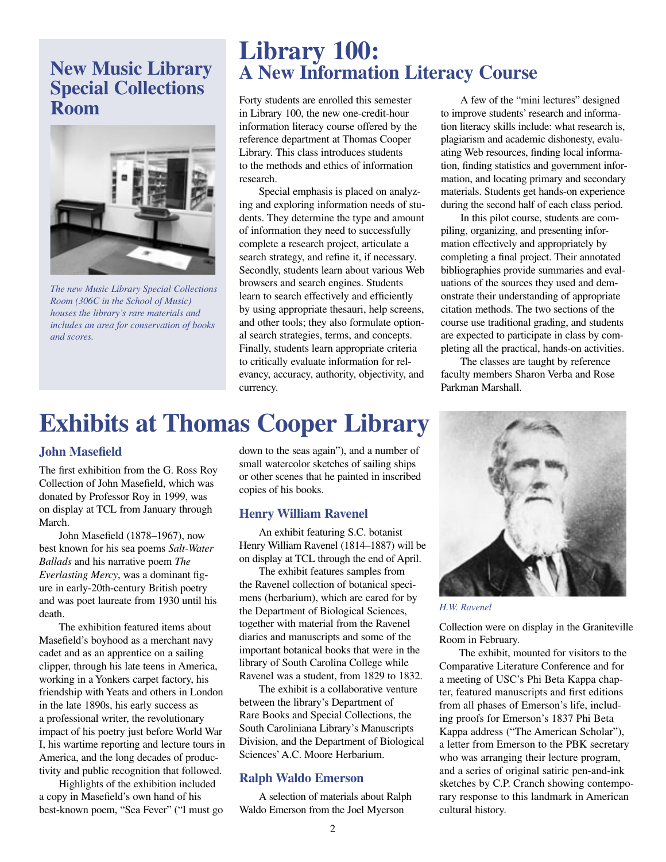### **New Music Library Special Collections Room**



*The new Music Library Special Collections Room (306C in the School of Music) houses the library's rare materials and includes an area for conservation of books and scores.*

### **Library 100: A New Information Literacy Course**

Forty students are enrolled this semester in Library 100, the new one-credit-hour information literacy course offered by the reference department at Thomas Cooper Library. This class introduces students to the methods and ethics of information research.

Special emphasis is placed on analyzing and exploring information needs of students. They determine the type and amount of information they need to successfully complete a research project, articulate a search strategy, and refine it, if necessary. Secondly, students learn about various Web browsers and search engines. Students learn to search effectively and efficiently by using appropriate thesauri, help screens, and other tools; they also formulate optional search strategies, terms, and concepts. Finally, students learn appropriate criteria to critically evaluate information for relevancy, accuracy, authority, objectivity, and currency.

# **Exhibits at Thomas Cooper Library**

### **John Masefield**

The first exhibition from the G. Ross Roy Collection of John Masefield, which was donated by Professor Roy in 1999, was on display at TCL from January through March.

John Masefield (1878–1967), now best known for his sea poems *Salt-Water Ballads* and his narrative poem *The Everlasting Mercy*, was a dominant figure in early-20th-century British poetry and was poet laureate from 1930 until his death.

The exhibition featured items about Masefield's boyhood as a merchant navy cadet and as an apprentice on a sailing clipper, through his late teens in America, working in a Yonkers carpet factory, his friendship with Yeats and others in London in the late 1890s, his early success as a professional writer, the revolutionary impact of his poetry just before World War I, his wartime reporting and lecture tours in America, and the long decades of productivity and public recognition that followed.

Highlights of the exhibition included a copy in Masefield's own hand of his best-known poem, "Sea Fever" ("I must go down to the seas again"), and a number of small watercolor sketches of sailing ships or other scenes that he painted in inscribed copies of his books.

#### **Henry William Ravenel**

An exhibit featuring S.C. botanist Henry William Ravenel (1814–1887) will be on display at TCL through the end of April.

The exhibit features samples from the Ravenel collection of botanical specimens (herbarium), which are cared for by the Department of Biological Sciences, together with material from the Ravenel diaries and manuscripts and some of the important botanical books that were in the library of South Carolina College while Ravenel was a student, from 1829 to 1832.

The exhibit is a collaborative venture between the library's Department of Rare Books and Special Collections, the South Caroliniana Library's Manuscripts Division, and the Department of Biological Sciences' A.C. Moore Herbarium.

### **Ralph Waldo Emerson**

A selection of materials about Ralph Waldo Emerson from the Joel Myerson

A few of the "mini lectures" designed to improve students' research and information literacy skills include: what research is, plagiarism and academic dishonesty, evaluating Web resources, finding local information, finding statistics and government information, and locating primary and secondary materials. Students get hands-on experience during the second half of each class period.

In this pilot course, students are compiling, organizing, and presenting information effectively and appropriately by completing a final project. Their annotated bibliographies provide summaries and evaluations of the sources they used and demonstrate their understanding of appropriate citation methods. The two sections of the course use traditional grading, and students are expected to participate in class by completing all the practical, hands-on activities.

The classes are taught by reference faculty members Sharon Verba and Rose Parkman Marshall.



*H.W. Ravenel*

Collection were on display in the Graniteville Room in February.

The exhibit, mounted for visitors to the Comparative Literature Conference and for a meeting of USC's Phi Beta Kappa chapter, featured manuscripts and first editions from all phases of Emerson's life, including proofs for Emerson's 1837 Phi Beta Kappa address ("The American Scholar"), a letter from Emerson to the PBK secretary who was arranging their lecture program, and a series of original satiric pen-and-ink sketches by C.P. Cranch showing contemporary response to this landmark in American cultural history.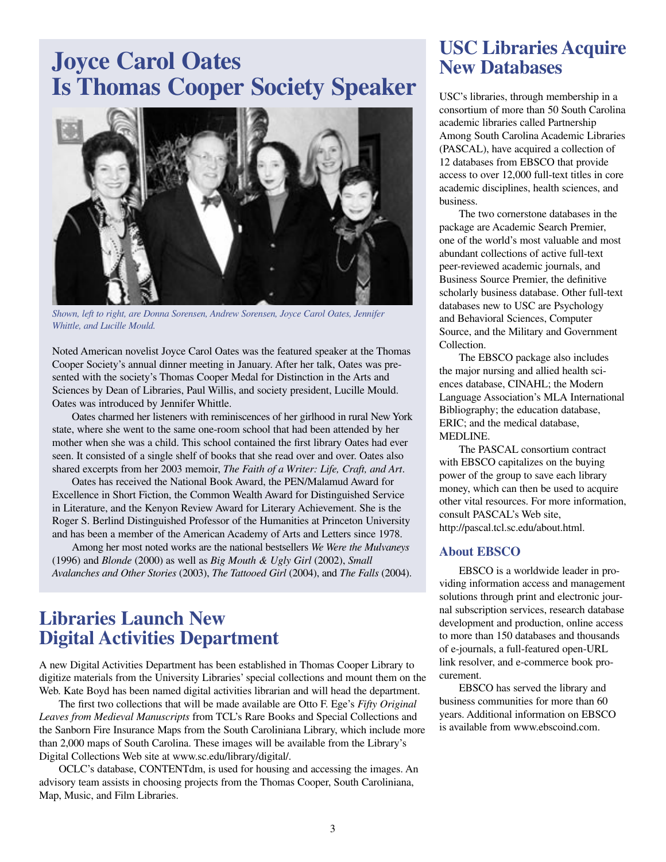# **Joyce Carol Oates Is Thomas Cooper Society Speaker**



*Shown, left to right, are Donna Sorensen, Andrew Sorensen, Joyce Carol Oates, Jennifer Whittle, and Lucille Mould.*

Noted American novelist Joyce Carol Oates was the featured speaker at the Thomas Cooper Society's annual dinner meeting in January. After her talk, Oates was presented with the society's Thomas Cooper Medal for Distinction in the Arts and Sciences by Dean of Libraries, Paul Willis, and society president, Lucille Mould. Oates was introduced by Jennifer Whittle.

Oates charmed her listeners with reminiscences of her girlhood in rural New York state, where she went to the same one-room school that had been attended by her mother when she was a child. This school contained the first library Oates had ever seen. It consisted of a single shelf of books that she read over and over. Oates also shared excerpts from her 2003 memoir, *The Faith of a Writer: Life, Craft, and Art*.

Oates has received the National Book Award, the PEN/Malamud Award for Excellence in Short Fiction, the Common Wealth Award for Distinguished Service in Literature, and the Kenyon Review Award for Literary Achievement. She is the Roger S. Berlind Distinguished Professor of the Humanities at Princeton University and has been a member of the American Academy of Arts and Letters since 1978.

Among her most noted works are the national bestsellers *We Were the Mulvaneys*  (1996) and *Blonde* (2000) as well as *Big Mouth & Ugly Girl* (2002), *Small Avalanches and Other Stories* (2003), *The Tattooed Girl* (2004), and *The Falls* (2004).

### **Libraries Launch New Digital Activities Department**

A new Digital Activities Department has been established in Thomas Cooper Library to digitize materials from the University Libraries' special collections and mount them on the Web. Kate Boyd has been named digital activities librarian and will head the department.

The first two collections that will be made available are Otto F. Ege's *Fifty Original Leaves from Medieval Manuscripts* from TCL's Rare Books and Special Collections and the Sanborn Fire Insurance Maps from the South Caroliniana Library, which include more than 2,000 maps of South Carolina. These images will be available from the Library's Digital Collections Web site at www.sc.edu/library/digital/.

OCLC's database, CONTENTdm, is used for housing and accessing the images. An advisory team assists in choosing projects from the Thomas Cooper, South Caroliniana, Map, Music, and Film Libraries.

### **USC Libraries Acquire New Databases**

USC's libraries, through membership in a consortium of more than 50 South Carolina academic libraries called Partnership Among South Carolina Academic Libraries (PASCAL), have acquired a collection of 12 databases from EBSCO that provide access to over 12,000 full-text titles in core academic disciplines, health sciences, and business.

The two cornerstone databases in the package are Academic Search Premier, one of the world's most valuable and most abundant collections of active full-text peer-reviewed academic journals, and Business Source Premier, the definitive scholarly business database. Other full-text databases new to USC are Psychology and Behavioral Sciences, Computer Source, and the Military and Government Collection.

The EBSCO package also includes the major nursing and allied health sciences database, CINAHL; the Modern Language Association's MLA International Bibliography; the education database, ERIC; and the medical database, MEDLINE.

The PASCAL consortium contract with EBSCO capitalizes on the buying power of the group to save each library money, which can then be used to acquire other vital resources. For more information, consult PASCAL's Web site, http://pascal.tcl.sc.edu/about.html.

### **About EBSCO**

EBSCO is a worldwide leader in providing information access and management solutions through print and electronic journal subscription services, research database development and production, online access to more than 150 databases and thousands of e-journals, a full-featured open-URL link resolver, and e-commerce book procurement.

EBSCO has served the library and business communities for more than 60 years. Additional information on EBSCO is available from www.ebscoind.com.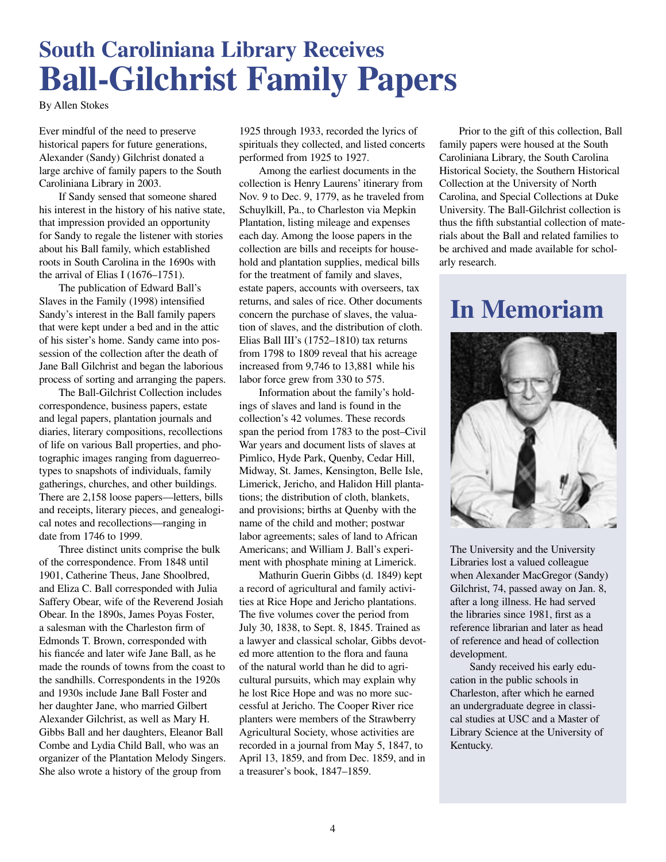# **South Caroliniana Library Receives Ball-Gilchrist Family Papers**

By Allen Stokes

Ever mindful of the need to preserve historical papers for future generations, Alexander (Sandy) Gilchrist donated a large archive of family papers to the South Caroliniana Library in 2003.

If Sandy sensed that someone shared his interest in the history of his native state, that impression provided an opportunity for Sandy to regale the listener with stories about his Ball family, which established roots in South Carolina in the 1690s with the arrival of Elias I (1676–1751).

The publication of Edward Ball's Slaves in the Family (1998) intensified Sandy's interest in the Ball family papers that were kept under a bed and in the attic of his sister's home. Sandy came into possession of the collection after the death of Jane Ball Gilchrist and began the laborious process of sorting and arranging the papers.

The Ball-Gilchrist Collection includes correspondence, business papers, estate and legal papers, plantation journals and diaries, literary compositions, recollections of life on various Ball properties, and photographic images ranging from daguerreotypes to snapshots of individuals, family gatherings, churches, and other buildings. There are 2,158 loose papers—letters, bills and receipts, literary pieces, and genealogical notes and recollections—ranging in date from 1746 to 1999.

Three distinct units comprise the bulk of the correspondence. From 1848 until 1901, Catherine Theus, Jane Shoolbred, and Eliza C. Ball corresponded with Julia Saffery Obear, wife of the Reverend Josiah Obear. In the 1890s, James Poyas Foster, a salesman with the Charleston firm of Edmonds T. Brown, corresponded with his fiancée and later wife Jane Ball, as he made the rounds of towns from the coast to the sandhills. Correspondents in the 1920s and 1930s include Jane Ball Foster and her daughter Jane, who married Gilbert Alexander Gilchrist, as well as Mary H. Gibbs Ball and her daughters, Eleanor Ball Combe and Lydia Child Ball, who was an organizer of the Plantation Melody Singers. She also wrote a history of the group from

1925 through 1933, recorded the lyrics of spirituals they collected, and listed concerts performed from 1925 to 1927.

Among the earliest documents in the collection is Henry Laurens' itinerary from Nov. 9 to Dec. 9, 1779, as he traveled from Schuylkill, Pa., to Charleston via Mepkin Plantation, listing mileage and expenses each day. Among the loose papers in the collection are bills and receipts for household and plantation supplies, medical bills for the treatment of family and slaves, estate papers, accounts with overseers, tax returns, and sales of rice. Other documents concern the purchase of slaves, the valuation of slaves, and the distribution of cloth. Elias Ball III's (1752–1810) tax returns from 1798 to 1809 reveal that his acreage increased from 9,746 to 13,881 while his labor force grew from 330 to 575.

Information about the family's holdings of slaves and land is found in the collection's 42 volumes. These records span the period from 1783 to the post–Civil War years and document lists of slaves at Pimlico, Hyde Park, Quenby, Cedar Hill, Midway, St. James, Kensington, Belle Isle, Limerick, Jericho, and Halidon Hill plantations; the distribution of cloth, blankets, and provisions; births at Quenby with the name of the child and mother; postwar labor agreements; sales of land to African Americans; and William J. Ball's experiment with phosphate mining at Limerick.

Mathurin Guerin Gibbs (d. 1849) kept a record of agricultural and family activities at Rice Hope and Jericho plantations. The five volumes cover the period from July 30, 1838, to Sept. 8, 1845. Trained as a lawyer and classical scholar, Gibbs devoted more attention to the flora and fauna of the natural world than he did to agricultural pursuits, which may explain why he lost Rice Hope and was no more successful at Jericho. The Cooper River rice planters were members of the Strawberry Agricultural Society, whose activities are recorded in a journal from May 5, 1847, to April 13, 1859, and from Dec. 1859, and in a treasurer's book, 1847–1859.

Prior to the gift of this collection, Ball family papers were housed at the South Caroliniana Library, the South Carolina Historical Society, the Southern Historical Collection at the University of North Carolina, and Special Collections at Duke University. The Ball-Gilchrist collection is thus the fifth substantial collection of materials about the Ball and related families to be archived and made available for scholarly research.

# **In Memoriam**



The University and the University Libraries lost a valued colleague when Alexander MacGregor (Sandy) Gilchrist, 74, passed away on Jan. 8, after a long illness. He had served the libraries since 1981, first as a reference librarian and later as head of reference and head of collection development.

Sandy received his early education in the public schools in Charleston, after which he earned an undergraduate degree in classical studies at USC and a Master of Library Science at the University of Kentucky.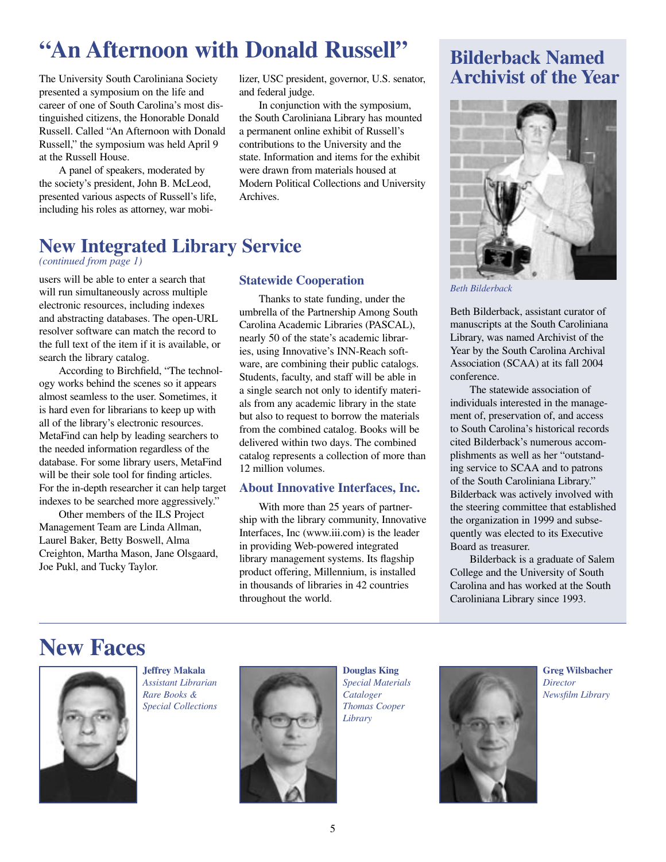# **"An Afternoon with Donald Russell" Bilderback Named**

The University South Caroliniana Society presented a symposium on the life and career of one of South Carolina's most distinguished citizens, the Honorable Donald Russell. Called "An Afternoon with Donald Russell," the symposium was held April 9 at the Russell House.

A panel of speakers, moderated by the society's president, John B. McLeod, presented various aspects of Russell's life, including his roles as attorney, war mobilizer, USC president, governor, U.S. senator, and federal judge.

In conjunction with the symposium, the South Caroliniana Library has mounted a permanent online exhibit of Russell's contributions to the University and the state. Information and items for the exhibit were drawn from materials housed at Modern Political Collections and University Archives.

## **New Integrated Library Service**

#### *(continued from page 1)*

users will be able to enter a search that will run simultaneously across multiple electronic resources, including indexes and abstracting databases. The open-URL resolver software can match the record to the full text of the item if it is available, or search the library catalog.

According to Birchfield, "The technology works behind the scenes so it appears almost seamless to the user. Sometimes, it is hard even for librarians to keep up with all of the library's electronic resources. MetaFind can help by leading searchers to the needed information regardless of the database. For some library users, MetaFind will be their sole tool for finding articles. For the in-depth researcher it can help target indexes to be searched more aggressively."

Other members of the ILS Project Management Team are Linda Allman, Laurel Baker, Betty Boswell, Alma Creighton, Martha Mason, Jane Olsgaard, Joe Pukl, and Tucky Taylor.

### **Statewide Cooperation**

Thanks to state funding, under the umbrella of the Partnership Among South Carolina Academic Libraries (PASCAL), nearly 50 of the state's academic libraries, using Innovative's INN-Reach software, are combining their public catalogs. Students, faculty, and staff will be able in a single search not only to identify materials from any academic library in the state but also to request to borrow the materials from the combined catalog. Books will be delivered within two days. The combined catalog represents a collection of more than 12 million volumes.

### **About Innovative Interfaces, Inc.**

With more than 25 years of partnership with the library community, Innovative Interfaces, Inc (www.iii.com) is the leader in providing Web-powered integrated library management systems. Its flagship product offering, Millennium, is installed in thousands of libraries in 42 countries throughout the world.

# **Archivist of the Year**



*Beth Bilderback*

Beth Bilderback, assistant curator of manuscripts at the South Caroliniana Library, was named Archivist of the Year by the South Carolina Archival Association (SCAA) at its fall 2004 conference.

The statewide association of individuals interested in the management of, preservation of, and access to South Carolina's historical records cited Bilderback's numerous accomplishments as well as her "outstanding service to SCAA and to patrons of the South Caroliniana Library." Bilderback was actively involved with the steering committee that established the organization in 1999 and subsequently was elected to its Executive Board as treasurer.

Bilderback is a graduate of Salem College and the University of South Carolina and has worked at the South Caroliniana Library since 1993.

# **New Faces**



**Jeffrey Makala** *Assistant Librarian Rare Books & Special Collections* 



**Douglas King** *Special Materials Cataloger Thomas Cooper Library*



**Greg Wilsbacher** *Director Newsfilm Library*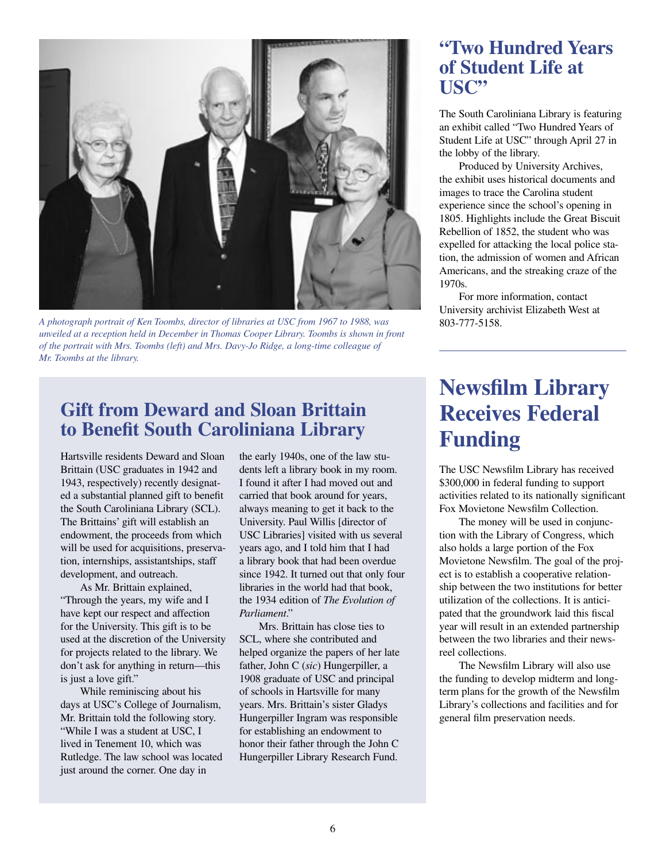

*A photograph portrait of Ken Toombs, director of libraries at USC from 1967 to 1988, was unveiled at a reception held in December in Thomas Cooper Library. Toombs is shown in front of the portrait with Mrs. Toombs (left) and Mrs. Davy-Jo Ridge, a long-time colleague of Mr. Toombs at the library.*

### **Gift from Deward and Sloan Brittain to Benefit South Caroliniana Library**

Hartsville residents Deward and Sloan Brittain (USC graduates in 1942 and 1943, respectively) recently designated a substantial planned gift to benefit the South Caroliniana Library (SCL). The Brittains' gift will establish an endowment, the proceeds from which will be used for acquisitions, preservation, internships, assistantships, staff development, and outreach.

As Mr. Brittain explained, "Through the years, my wife and I have kept our respect and affection for the University. This gift is to be used at the discretion of the University for projects related to the library. We don't ask for anything in return—this is just a love gift."

While reminiscing about his days at USC's College of Journalism, Mr. Brittain told the following story. "While I was a student at USC, I lived in Tenement 10, which was Rutledge. The law school was located just around the corner. One day in

the early 1940s, one of the law students left a library book in my room. I found it after I had moved out and carried that book around for years, always meaning to get it back to the University. Paul Willis [director of USC Libraries] visited with us several years ago, and I told him that I had a library book that had been overdue since 1942. It turned out that only four libraries in the world had that book, the 1934 edition of *The Evolution of Parliament*."

Mrs. Brittain has close ties to SCL, where she contributed and helped organize the papers of her late father, John C (*sic*) Hungerpiller, a 1908 graduate of USC and principal of schools in Hartsville for many years. Mrs. Brittain's sister Gladys Hungerpiller Ingram was responsible for establishing an endowment to honor their father through the John C Hungerpiller Library Research Fund.

### **"Two Hundred Years of Student Life at USC"**

The South Caroliniana Library is featuring an exhibit called "Two Hundred Years of Student Life at USC" through April 27 in the lobby of the library.

Produced by University Archives, the exhibit uses historical documents and images to trace the Carolina student experience since the school's opening in 1805. Highlights include the Great Biscuit Rebellion of 1852, the student who was expelled for attacking the local police station, the admission of women and African Americans, and the streaking craze of the 1970s.

For more information, contact University archivist Elizabeth West at 803-777-5158.

# **Newsfilm Library Receives Federal Funding**

The USC Newsfilm Library has received \$300,000 in federal funding to support activities related to its nationally significant Fox Movietone Newsfilm Collection.

The money will be used in conjunction with the Library of Congress, which also holds a large portion of the Fox Movietone Newsfilm. The goal of the project is to establish a cooperative relationship between the two institutions for better utilization of the collections. It is anticipated that the groundwork laid this fiscal year will result in an extended partnership between the two libraries and their newsreel collections.

The Newsfilm Library will also use the funding to develop midterm and longterm plans for the growth of the Newsfilm Library's collections and facilities and for general film preservation needs.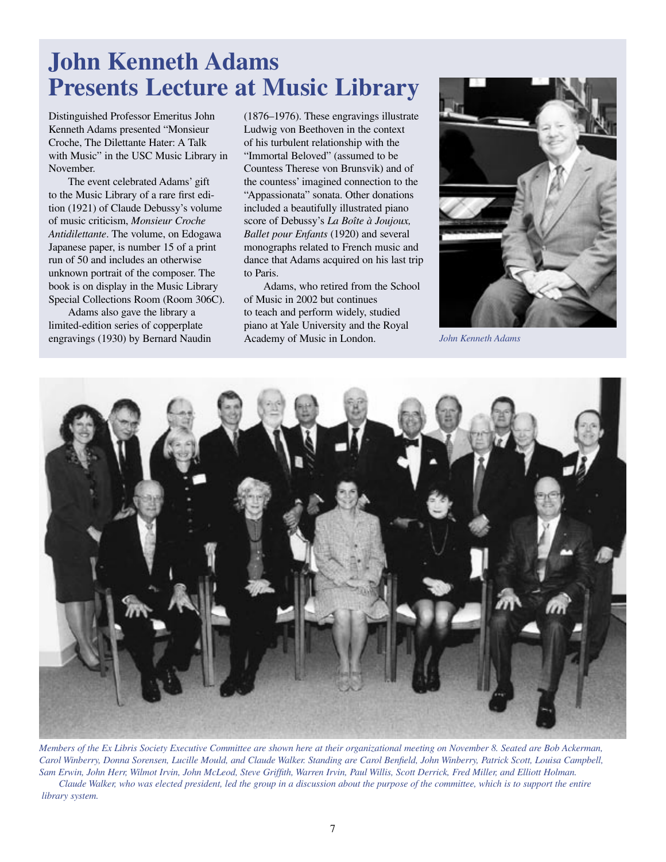# **John Kenneth Adams Presents Lecture at Music Library**

Distinguished Professor Emeritus John Kenneth Adams presented "Monsieur Croche, The Dilettante Hater: A Talk with Music" in the USC Music Library in November.

The event celebrated Adams' gift to the Music Library of a rare first edition (1921) of Claude Debussy's volume of music criticism, *Monsieur Croche Antidilettante*. The volume, on Edogawa Japanese paper, is number 15 of a print run of 50 and includes an otherwise unknown portrait of the composer. The book is on display in the Music Library Special Collections Room (Room 306C).

Adams also gave the library a limited-edition series of copperplate engravings (1930) by Bernard Naudin (1876–1976). These engravings illustrate Ludwig von Beethoven in the context of his turbulent relationship with the "Immortal Beloved" (assumed to be Countess Therese von Brunsvik) and of the countess' imagined connection to the "Appassionata" sonata. Other donations included a beautifully illustrated piano score of Debussy's *La Boîte à Joujoux, Ballet pour Enfants* (1920) and several monographs related to French music and dance that Adams acquired on his last trip to Paris.

Adams, who retired from the School of Music in 2002 but continues to teach and perform widely, studied piano at Yale University and the Royal Academy of Music in London.



*John Kenneth Adams*



*Members of the Ex Libris Society Executive Committee are shown here at their organizational meeting on November 8. Seated are Bob Ackerman, Carol Winberry, Donna Sorensen, Lucille Mould, and Claude Walker. Standing are Carol Benfield, John Winberry, Patrick Scott, Louisa Campbell, Sam Erwin, John Herr, Wilmot Irvin, John McLeod, Steve Griffith, Warren Irvin, Paul Willis, Scott Derrick, Fred Miller, and Elliott Holman. Claude Walker, who was elected president, led the group in a discussion about the purpose of the committee, which is to support the entire* 

 *library system.*